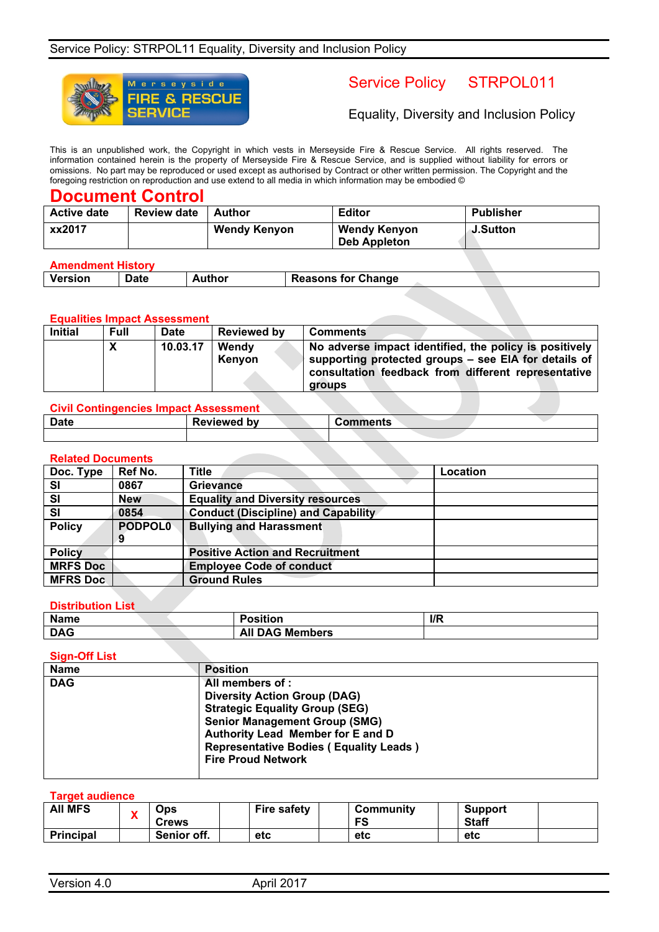

# Service Policy STRPOL011

Equality, Diversity and Inclusion Policy

This is an unpublished work, the Copyright in which vests in Merseyside Fire & Rescue Service. All rights reserved. The information contained herein is the property of Merseyside Fire & Rescue Service, and is supplied without liability for errors or omissions. No part may be reproduced or used except as authorised by Contract or other written permission. The Copyright and the foregoing restriction on reproduction and use extend to all media in which information may be embodied ©

## **Document Control**

| <b>Active date</b> | <b>Review date</b> | Author              | <b>Editor</b>                       | <b>Publisher</b> |
|--------------------|--------------------|---------------------|-------------------------------------|------------------|
| xx2017             |                    | <b>Wendy Kenyon</b> | Wendy Kenyon<br><b>Deb Appleton</b> | <b>J.Sutton</b>  |

#### **Amendment History**

| ----------- |             |               |                           |  |  |
|-------------|-------------|---------------|---------------------------|--|--|
| Version     | <b>Date</b> | uthor.<br>___ | <b>Reasons for Change</b> |  |  |
|             |             |               |                           |  |  |

#### **Equalities Impact Assessment**

| <b>Initial</b>             | <b>Full</b> | <b>Date</b> | <b>Reviewed by</b> | <b>Comments</b>                                                                                                                                                                 |
|----------------------------|-------------|-------------|--------------------|---------------------------------------------------------------------------------------------------------------------------------------------------------------------------------|
| $\boldsymbol{\mathcal{L}}$ |             | 10.03.17    | Wendy<br>Kenvon    | No adverse impact identified, the policy is positively<br>supporting protected groups - see EIA for details of<br>consultation feedback from different representative<br>groups |

| <b>Civil Contingencies Impact Assessment</b> |                    |                 |  |
|----------------------------------------------|--------------------|-----------------|--|
| <b>Date</b>                                  | <b>Reviewed by</b> | <b>Comments</b> |  |
|                                              |                    |                 |  |

#### **Related Documents**

| Doc. Type       | Ref No.        | <b>Title</b>                               | Location |
|-----------------|----------------|--------------------------------------------|----------|
| SI              | 0867           | <b>Grievance</b>                           |          |
| SI              | <b>New</b>     | <b>Equality and Diversity resources</b>    |          |
| SI              | 0854           | <b>Conduct (Discipline) and Capability</b> |          |
| <b>Policy</b>   | <b>PODPOL0</b> | <b>Bullying and Harassment</b>             |          |
|                 |                |                                            |          |
| <b>Policy</b>   |                | <b>Positive Action and Recruitment</b>     |          |
| <b>MRFS Doc</b> |                | <b>Employee Code of conduct</b>            |          |
| <b>MFRS Doc</b> |                | <b>Ground Rules</b>                        |          |

#### **Distribution List**

| <b>Name</b> |                           | $\mathsf{I}/\mathsf{R}$ |
|-------------|---------------------------|-------------------------|
| <b>DAG</b>  | <b>DAG Members</b><br>All |                         |

#### **Sign-Off List**

| <b>Name</b> | <b>Position</b>                               |
|-------------|-----------------------------------------------|
| <b>DAG</b>  | All members of :                              |
|             | <b>Diversity Action Group (DAG)</b>           |
|             | <b>Strategic Equality Group (SEG)</b>         |
|             | <b>Senior Management Group (SMG)</b>          |
|             | Authority Lead Member for E and D             |
|             | <b>Representative Bodies (Equality Leads)</b> |
|             | <b>Fire Proud Network</b>                     |
|             |                                               |

#### **Target audience**

| <b>AII MFS</b>   | $\boldsymbol{r}$ | Ops<br><b>Crews</b> | <b>Fire safety</b> | Community<br>FS | Support<br><b>Staff</b> |  |
|------------------|------------------|---------------------|--------------------|-----------------|-------------------------|--|
| <b>Principal</b> |                  | Senior off.         | etc                | etc             | etc                     |  |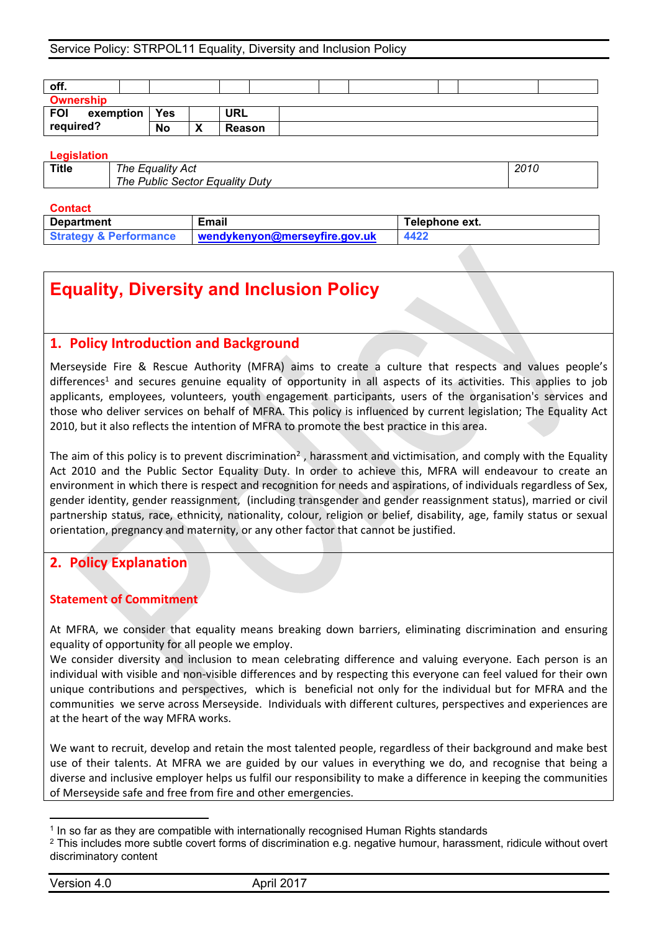## Service Policy: STRPOL11 Equality, Diversity and Inclusion Policy

| off.                        |           |                   |               |  |  |  |
|-----------------------------|-----------|-------------------|---------------|--|--|--|
| <b>Ownership</b>            |           |                   |               |  |  |  |
| <b>FOI</b><br>exemption $ $ | Yes       |                   | URL           |  |  |  |
| required?                   | <b>No</b> | $\mathbf{v}$<br>́ | <b>Reason</b> |  |  |  |

#### **Legislation**

| <b>Title</b> | The Equality Act                |  |
|--------------|---------------------------------|--|
|              | The Public Sector Equality Duty |  |

#### **Contact**

| <b>Strategy &amp; Performance</b><br>4422<br>wendykenyon@merseyfire.gov.uk |  |
|----------------------------------------------------------------------------|--|

# **Equality, Diversity and Inclusion Policy**

# **1. Policy Introduction and Background**

Merseyside Fire & Rescue Authority (MFRA) aims to create a culture that respects and values people's  $d$ ifferences<sup>1</sup> and secures genuine equality of opportunity in all aspects of its activities. This applies to job applicants, employees, volunteers, youth engagement participants, users of the organisation's services and those who deliver services on behalf of MFRA. This policy is influenced by current legislation; The Equality Act 2010, but it also reflects the intention of MFRA to promote the best practice in this area.

The aim of this policy is to prevent discrimination<sup>2</sup>, harassment and victimisation, and comply with the Equality Act 2010 and the Public Sector Equality Duty. In order to achieve this, MFRA will endeavour to create an environment in which there is respect and recognition for needs and aspirations, of individuals regardless of Sex, gender identity, gender reassignment, (including transgender and gender reassignment status), married or civil partnership status, race, ethnicity, nationality, colour, religion or belief, disability, age, family status or sexual orientation, pregnancy and maternity, or any other factor that cannot be justified.

# **2. Policy Explanation**

## **Statement of Commitment**

At MFRA, we consider that equality means breaking down barriers, eliminating discrimination and ensuring equality of opportunity for all people we employ.

We consider diversity and inclusion to mean celebrating difference and valuing everyone. Each person is an individual with visible and non-visible differences and by respecting this everyone can feel valued for their own unique contributions and perspectives, which is beneficial not only for the individual but for MFRA and the communities we serve across Merseyside. Individuals with different cultures, perspectives and experiences are at the heart of the way MFRA works.

We want to recruit, develop and retain the most talented people, regardless of their background and make best use of their talents. At MFRA we are guided by our values in everything we do, and recognise that being a diverse and inclusive employer helps us fulfil our responsibility to make a difference in keeping the communities of Merseyside safe and free from fire and other emergencies.

<sup>1</sup> In so far as they are compatible with internationally recognised Human Rights standards

<sup>&</sup>lt;sup>2</sup> This includes more subtle covert forms of discrimination e.g. negative humour, harassment, ridicule without overt discriminatory content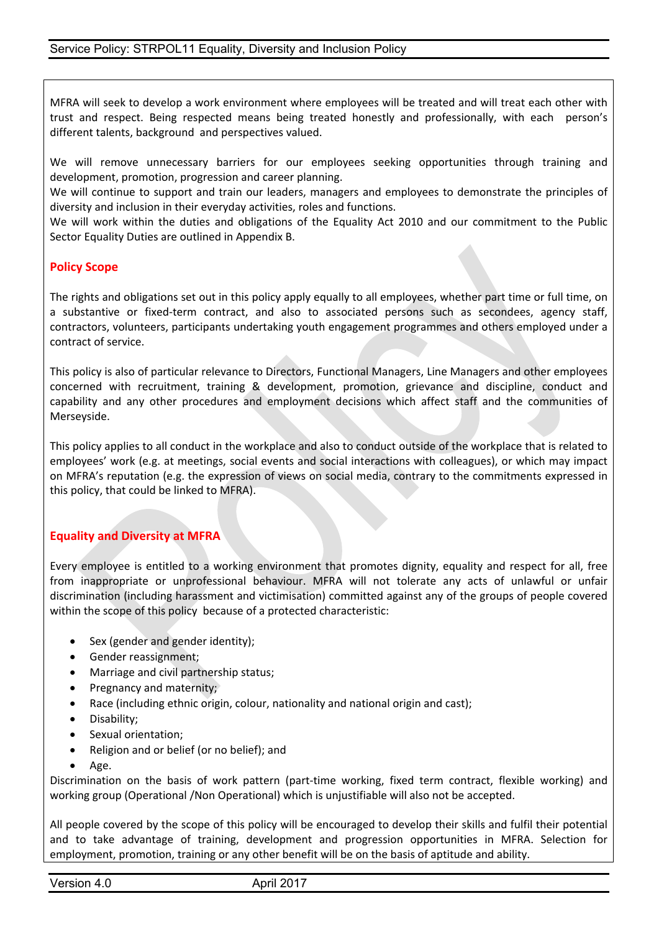MFRA will seek to develop a work environment where employees will be treated and will treat each other with trust and respect. Being respected means being treated honestly and professionally, with each person's different talents, background and perspectives valued.

We will remove unnecessary barriers for our employees seeking opportunities through training and development, promotion, progression and career planning.

We will continue to support and train our leaders, managers and employees to demonstrate the principles of diversity and inclusion in their everyday activities, roles and functions.

We will work within the duties and obligations of the Equality Act 2010 and our commitment to the Public Sector Equality Duties are outlined in Appendix B.

# **Policy Scope**

The rights and obligations set out in this policy apply equally to all employees, whether part time or full time, on a substantive or fixed-term contract, and also to associated persons such as secondees, agency staff, contractors, volunteers, participants undertaking youth engagement programmes and others employed under a contract of service.

This policy is also of particular relevance to Directors, Functional Managers, Line Managers and other employees concerned with recruitment, training & development, promotion, grievance and discipline, conduct and capability and any other procedures and employment decisions which affect staff and the communities of Merseyside.

This policy applies to all conduct in the workplace and also to conduct outside of the workplace that is related to employees' work (e.g. at meetings, social events and social interactions with colleagues), or which may impact on MFRA's reputation (e.g. the expression of views on social media, contrary to the commitments expressed in this policy, that could be linked to MFRA).

# **Equality and Diversity at MFRA**

Every employee is entitled to a working environment that promotes dignity, equality and respect for all, free from inappropriate or unprofessional behaviour. MFRA will not tolerate any acts of unlawful or unfair discrimination (including harassment and victimisation) committed against any of the groups of people covered within the scope of this policy because of a protected characteristic:

- Sex (gender and gender identity);
- Gender reassignment;
- Marriage and civil partnership status;
- Pregnancy and maternity;
- Race (including ethnic origin, colour, nationality and national origin and cast);
- Disability;
- Sexual orientation;
- Religion and or belief (or no belief); and
- Age.

Discrimination on the basis of work pattern (part-time working, fixed term contract, flexible working) and working group (Operational /Non Operational) which is unjustifiable will also not be accepted.

All people covered by the scope of this policy will be encouraged to develop their skills and fulfil their potential and to take advantage of training, development and progression opportunities in MFRA. Selection for employment, promotion, training or any other benefit will be on the basis of aptitude and ability.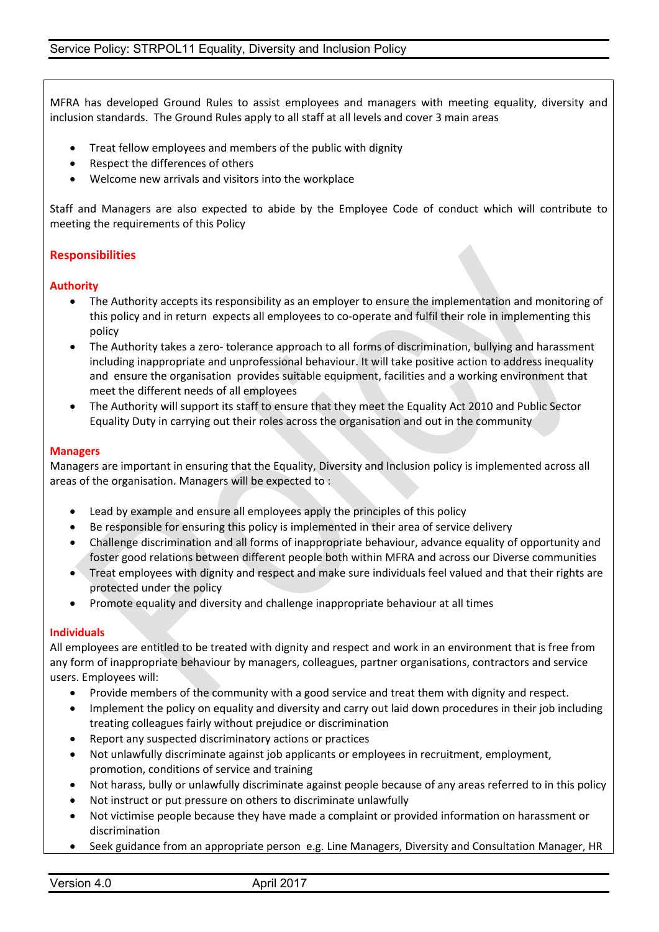MFRA has developed Ground Rules to assist employees and managers with meeting equality, diversity and inclusion standards. The Ground Rules apply to all staff at all levels and cover 3 main areas

- Treat fellow employees and members of the public with dignity
- Respect the differences of others
- Welcome new arrivals and visitors into the workplace

Staff and Managers are also expected to abide by the Employee Code of conduct which will contribute to meeting the requirements of this Policy

# **Responsibilities**

## **Authority**

- The Authority accepts its responsibility as an employer to ensure the implementation and monitoring of this policy and in return expects all employees to co-operate and fulfil their role in implementing this policy
- The Authority takes a zero- tolerance approach to all forms of discrimination, bullying and harassment including inappropriate and unprofessional behaviour. It will take positive action to address inequality and ensure the organisation provides suitable equipment, facilities and a working environment that meet the different needs of all employees
- The Authority will support its staff to ensure that they meet the Equality Act 2010 and Public Sector Equality Duty in carrying out their roles across the organisation and out in the community

#### **Managers**

Managers are important in ensuring that the Equality, Diversity and Inclusion policy is implemented across all areas of the organisation. Managers will be expected to :

- Lead by example and ensure all employees apply the principles of this policy
- Be responsible for ensuring this policy is implemented in their area of service delivery
- Challenge discrimination and all forms of inappropriate behaviour, advance equality of opportunity and foster good relations between different people both within MFRA and across our Diverse communities
- Treat employees with dignity and respect and make sure individuals feel valued and that their rights are protected under the policy
- Promote equality and diversity and challenge inappropriate behaviour at all times

#### **Individuals**

All employees are entitled to be treated with dignity and respect and work in an environment that is free from any form of inappropriate behaviour by managers, colleagues, partner organisations, contractors and service users. Employees will:

- Provide members of the community with a good service and treat them with dignity and respect.
- Implement the policy on equality and diversity and carry out laid down procedures in their job including treating colleagues fairly without prejudice or discrimination
- Report any suspected discriminatory actions or practices
- Not unlawfully discriminate against job applicants or employees in recruitment, employment, promotion, conditions of service and training
- Not harass, bully or unlawfully discriminate against people because of any areas referred to in this policy
- Not instruct or put pressure on others to discriminate unlawfully
- Not victimise people because they have made a complaint or provided information on harassment or discrimination
- Seek guidance from an appropriate person e.g. Line Managers, Diversity and Consultation Manager, HR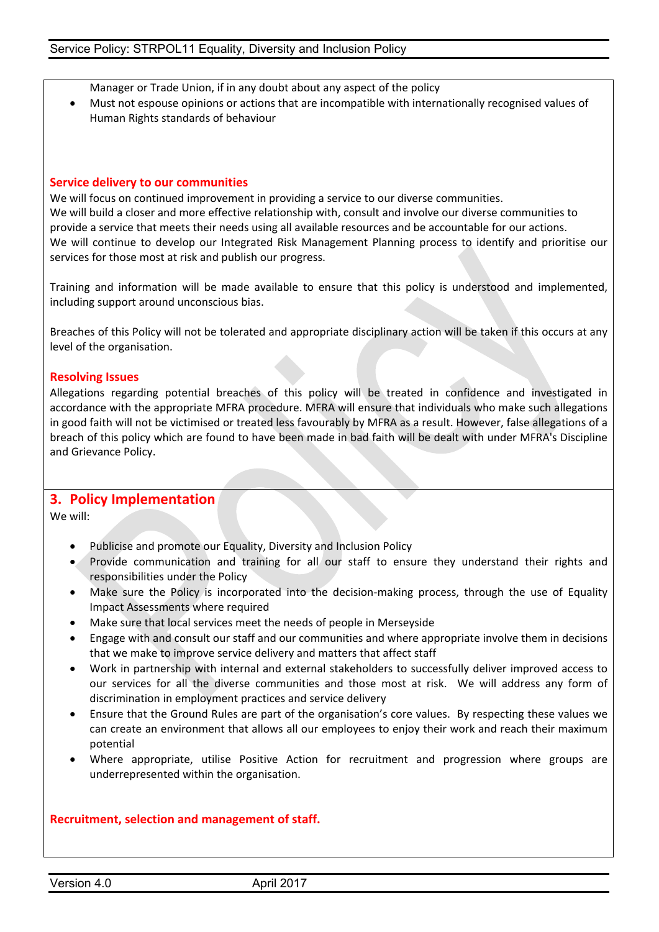Manager or Trade Union, if in any doubt about any aspect of the policy

 Must not espouse opinions or actions that are incompatible with internationally recognised values of Human Rights standards of behaviour

#### **Service delivery to our communities**

We will focus on continued improvement in providing a service to our diverse communities. We will build a closer and more effective relationship with, consult and involve our diverse communities to provide a service that meets their needs using all available resources and be accountable for our actions. We will continue to develop our Integrated Risk Management Planning process to identify and prioritise our services for those most at risk and publish our progress.

Training and information will be made available to ensure that this policy is understood and implemented, including support around unconscious bias.

Breaches of this Policy will not be tolerated and appropriate disciplinary action will be taken if this occurs at any level of the organisation.

#### **Resolving Issues**

Allegations regarding potential breaches of this policy will be treated in confidence and investigated in accordance with the appropriate MFRA procedure. MFRA will ensure that individuals who make such allegations in good faith will not be victimised or treated less favourably by MFRA as a result. However, false allegations of a breach of this policy which are found to have been made in bad faith will be dealt with under MFRA's Discipline and Grievance Policy.

## **3. Policy Implementation**

We will:

- Publicise and promote our Equality, Diversity and Inclusion Policy
- Provide communication and training for all our staff to ensure they understand their rights and responsibilities under the Policy
- Make sure the Policy is incorporated into the decision-making process, through the use of Equality Impact Assessments where required
- Make sure that local services meet the needs of people in Merseyside
- Engage with and consult our staff and our communities and where appropriate involve them in decisions that we make to improve service delivery and matters that affect staff
- Work in partnership with internal and external stakeholders to successfully deliver improved access to our services for all the diverse communities and those most at risk. We will address any form of discrimination in employment practices and service delivery
- Ensure that the Ground Rules are part of the organisation's core values. By respecting these values we can create an environment that allows all our employees to enjoy their work and reach their maximum potential
- Where appropriate, utilise Positive Action for recruitment and progression where groups are underrepresented within the organisation.

## **Recruitment, selection and management of staff.**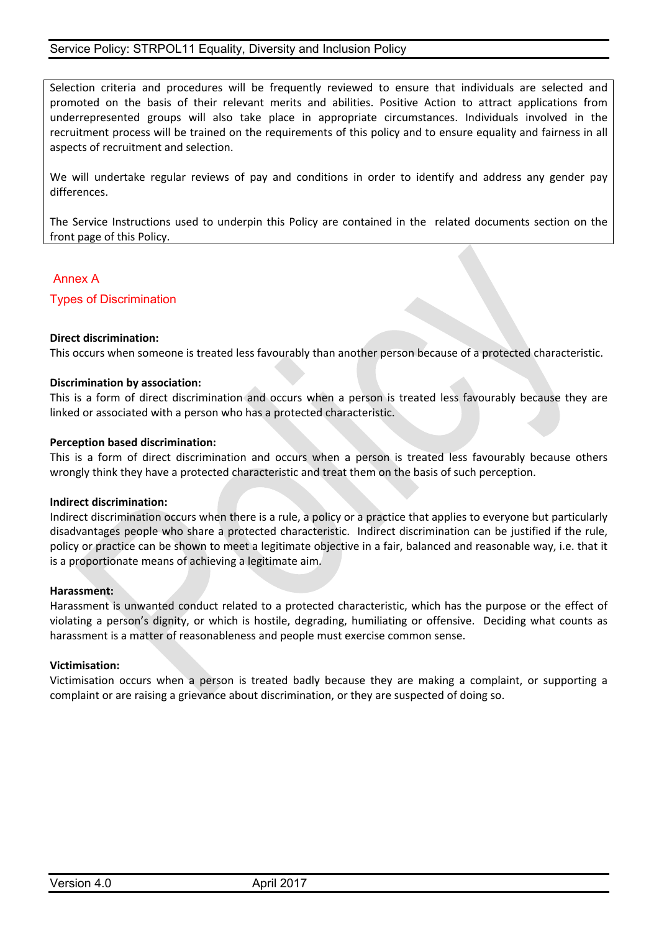Selection criteria and procedures will be frequently reviewed to ensure that individuals are selected and promoted on the basis of their relevant merits and abilities. Positive Action to attract applications from underrepresented groups will also take place in appropriate circumstances. Individuals involved in the recruitment process will be trained on the requirements of this policy and to ensure equality and fairness in all aspects of recruitment and selection.

We will undertake regular reviews of pay and conditions in order to identify and address any gender pay differences.

The Service Instructions used to underpin this Policy are contained in the related documents section on the front page of this Policy.

## Annex A

Types of Discrimination

#### **Direct discrimination:**

This occurs when someone is treated less favourably than another person because of a protected characteristic.

#### **Discrimination by association:**

This is a form of direct discrimination and occurs when a person is treated less favourably because they are linked or associated with a person who has a protected characteristic.

#### **Perception based discrimination:**

This is a form of direct discrimination and occurs when a person is treated less favourably because others wrongly think they have a protected characteristic and treat them on the basis of such perception.

#### **Indirect discrimination:**

Indirect discrimination occurs when there is a rule, a policy or a practice that applies to everyone but particularly disadvantages people who share a protected characteristic. Indirect discrimination can be justified if the rule, policy or practice can be shown to meet a legitimate objective in a fair, balanced and reasonable way, i.e. that it is a proportionate means of achieving a legitimate aim.

#### **Harassment:**

Harassment is unwanted conduct related to a protected characteristic, which has the purpose or the effect of violating a person's dignity, or which is hostile, degrading, humiliating or offensive. Deciding what counts as harassment is a matter of reasonableness and people must exercise common sense.

#### **Victimisation:**

Victimisation occurs when a person is treated badly because they are making a complaint, or supporting a complaint or are raising a grievance about discrimination, or they are suspected of doing so.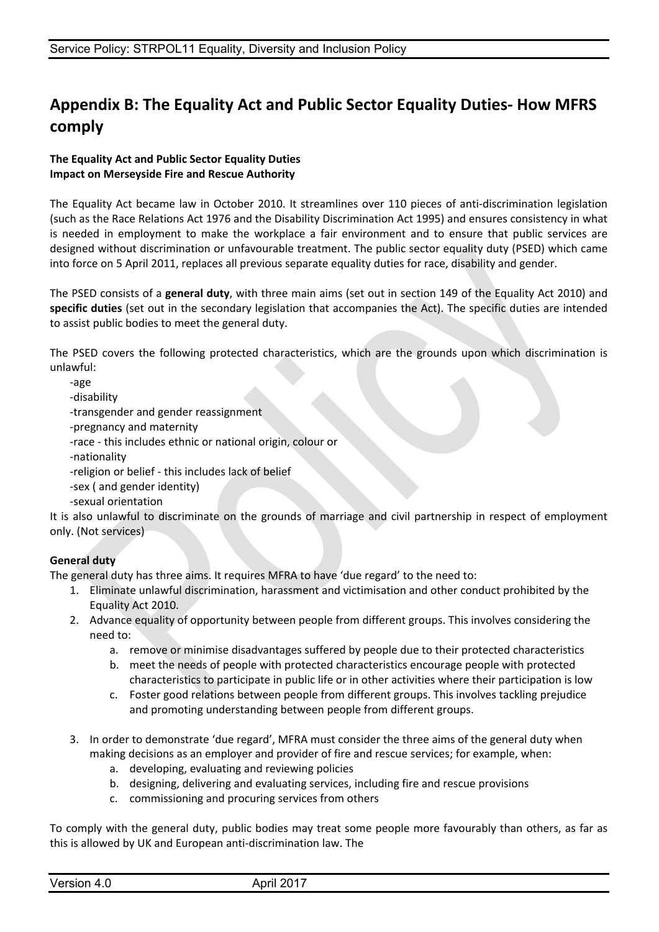# **Appendix B: The Equality Act and Public Sector Equality Duties- How MFRS comply**

## **The Equality Act and Public Sector Equality Duties Impact on Merseyside Fire and Rescue Authority**

The Equality Act became law in October 2010. It streamlines over 110 pieces of anti-discrimination legislation (such as the Race Relations Act 1976 and the Disability Discrimination Act 1995) and ensures consistency in what is needed in employment to make the workplace a fair environment and to ensure that public services are designed without discrimination or unfavourable treatment. The public sector equality duty (PSED) which came into force on 5 April 2011, replaces all previous separate equality duties for race, disability and gender.

The PSED consists of a **general duty**, with three main aims (set out in section 149 of the Equality Act 2010) and **specific duties** (set out in the secondary legislation that accompanies the Act). The specific duties are intended to assist public bodies to meet the general duty.

The PSED covers the following protected characteristics, which are the grounds upon which discrimination is unlawful:

-age

-disability

-transgender and gender reassignment

-pregnancy and maternity

-race - this includes ethnic or national origin, colour or

-nationality

-religion or belief - this includes lack of belief

-sex ( and gender identity)

-sexual orientation

It is also unlawful to discriminate on the grounds of marriage and civil partnership in respect of employment only. (Not services)

# **General duty**

The general duty has three aims. It requires MFRA to have 'due regard' to the need to:

- 1. Eliminate unlawful discrimination, harassment and victimisation and other conduct prohibited by the Equality Act 2010.
- 2. Advance equality of opportunity between people from different groups. This involves considering the need to:
	- a. remove or minimise disadvantages suffered by people due to their protected characteristics
	- b. meet the needs of people with protected characteristics encourage people with protected characteristics to participate in public life or in other activities where their participation is low
	- c. Foster good relations between people from different groups. This involves tackling prejudice and promoting understanding between people from different groups.
- 3. In order to demonstrate 'due regard', MFRA must consider the three aims of the general duty when making decisions as an employer and provider of fire and rescue services; for example, when:
	- a. developing, evaluating and reviewing policies
	- b. designing, delivering and evaluating services, including fire and rescue provisions
	- c. commissioning and procuring services from others

To comply with the general duty, public bodies may treat some people more favourably than others, as far as this is allowed by UK and European anti-discrimination law. The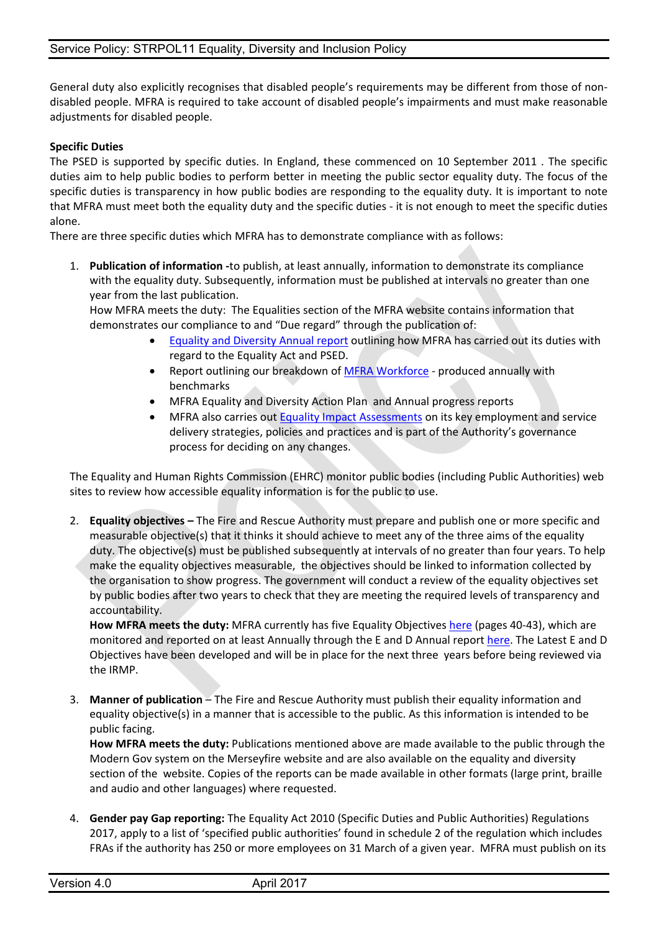General duty also explicitly recognises that disabled people's requirements may be different from those of nondisabled people. MFRA is required to take account of disabled people's impairments and must make reasonable adjustments for disabled people.

## **Specific Duties**

The PSED is supported by specific duties. In England, these commenced on 10 September 2011 . The specific duties aim to help public bodies to perform better in meeting the public sector equality duty. The focus of the specific duties is transparency in how public bodies are responding to the equality duty. It is important to note that MFRA must meet both the equality duty and the specific duties - it is not enough to meet the specific duties alone.

There are three specific duties which MFRA has to demonstrate compliance with as follows:

1. **Publication of information -**to publish, at least annually, information to demonstrate its compliance with the equality duty. Subsequently, information must be published at intervals no greater than one year from the last publication.

How MFRA meets the duty: The Equalities section of the MFRA website contains information that demonstrates our compliance to and "Due regard" through the publication of:

- Equality and [Diversity](http://www.merseyfire.gov.uk/aspx/pages/equality/EqualAndDiversityReport15-16/EqualityandDiversityAnnualReport.html) Annual report outlining how MFRA has carried out its duties with regard to the Equality Act and PSED.
- Report outlining our breakdown of MFRA [Workforce](http://intranetportal/sites/smd/equalityanddiversity/Shared%20Documents/Public%20Sector%20Equality%20Duty%20Report%202015-16/Public%20Sector%20Equality%20Data%20Report%202015.docx) produced annually with benchmarks
- MFRA Equality and Diversity Action Plan and Annual progress reports
- MFRA also carries out **Equality Impact [Assessments](http://intranetportal/sites/smd/equalityanddiversity/EIA%20Forms/EIA000383.xml)** on its key employment and service delivery strategies, policies and practices and is part of the Authority's governance process for deciding on any changes.

The Equality and Human Rights Commission (EHRC) monitor public bodies (including Public Authorities) web sites to review how accessible equality information is for the public to use.

2. **Equality objectives –** The Fire and Rescue Authority must prepare and publish one or more specific and measurable objective(s) that it thinks it should achieve to meet any of the three aims of the equality duty. The objective(s) must be published subsequently at intervals of no greater than four years. To help make the equality objectives measurable, the objectives should be linked to information collected by the organisation to show progress. The government will conduct a review of the equality objectives set by public bodies after two years to check that they are meeting the required levels of transparency and accountability.

**How MFRA meets the duty:** MFRA currently has five Equality Objectives [here](http://www.merseyfire.gov.uk/aspx/pages/IRMP/IRMP2017-20/IRMP2017.html) (pages 40-43), which are monitored and reported on at least Annually through the E and D Annual report [here.](http://www.merseyfire.gov.uk/aspx/pages/equality/EqualAndDiversityReport15-16/EqualityandDiversityAnnualReport.html) The Latest E and D Objectives have been developed and will be in place for the next three years before being reviewed via the IRMP.

3. **Manner of publication** – The Fire and Rescue Authority must publish their equality information and equality objective(s) in a manner that is accessible to the public. As this information is intended to be public facing.

**How MFRA meets the duty:** Publications mentioned above are made available to the public through the Modern Gov system on the Merseyfire website and are also available on the equality and diversity section of the website. Copies of the reports can be made available in other formats (large print, braille and audio and other languages) where requested.

4. **Gender pay Gap reporting:** The Equality Act 2010 (Specific Duties and Public Authorities) Regulations 2017, apply to a list of 'specified public authorities' found in schedule 2 of the regulation which includes FRAs if the authority has 250 or more employees on 31 March of a given year. MFRA must publish on its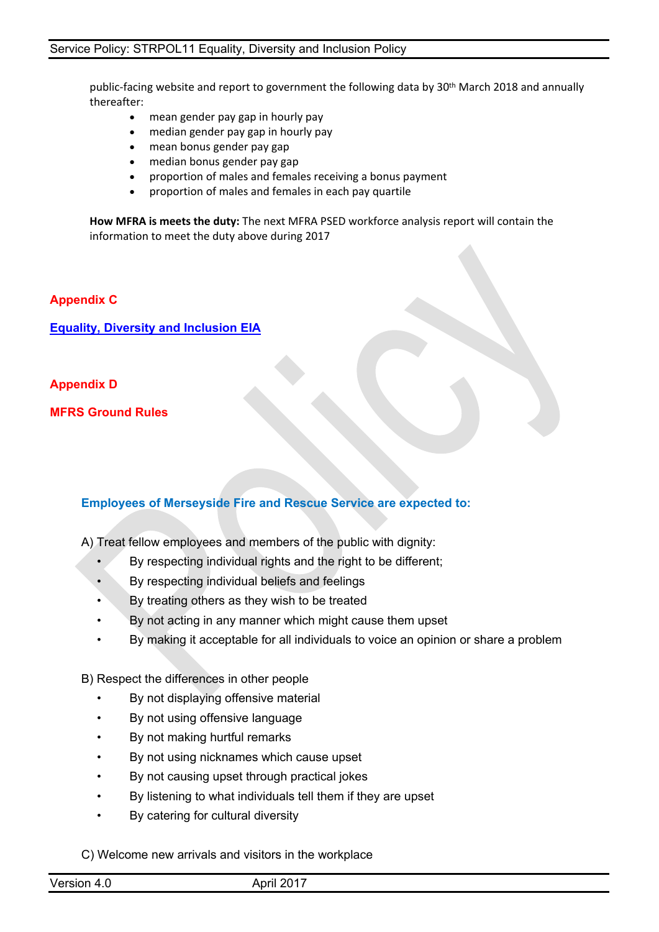public-facing website and report to government the following data by 30th March 2018 and annually thereafter:

- mean gender pay gap in hourly pay
- median gender pay gap in hourly pay
- mean bonus gender pay gap
- median bonus gender pay gap
- proportion of males and females receiving a bonus payment
- proportion of males and females in each pay quartile

**How MFRA is meets the duty:** The next MFRA PSED workforce analysis report will contain the information to meet the duty above during 2017

## **Appendix C**

**Equality, Diversity and [Inclusion](http://intranetportal/sites/smd/equalityanddiversity/EIA%20Forms/EIA000383.xml) EIA**

## **Appendix D**

**MFRS Ground Rules**

# **Employees of Merseyside Fire and Rescue Service are expected to:**

A) Treat fellow employees and members of the public with dignity:

- By respecting individual rights and the right to be different;
- By respecting individual beliefs and feelings
- By treating others as they wish to be treated
- By not acting in any manner which might cause them upset
- By making it acceptable for all individuals to voice an opinion or share a problem

B) Respect the differences in other people

- By not displaying offensive material
- By not using offensive language
- By not making hurtful remarks
- By not using nicknames which cause upset
- By not causing upset through practical jokes
- By listening to what individuals tell them if they are upset
- By catering for cultural diversity

C) Welcome new arrivals and visitors in the workplace